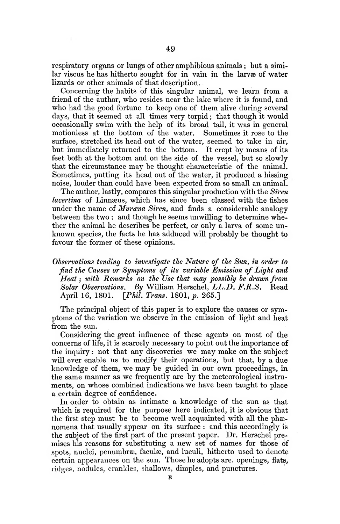respiratory organs or lungs of other amphibious animals ; but a similar viscus he has hitherto sought for in vain in the larvae of water lizards or other animals of that description.

Concerning the habits of this singular animal, we learn from a friend of the author, who resides near the lake where it is found, and who had the good fortune to keep one of them alive during several days, that it seemed at all times very torpid ; that though it would occasionally swim with the help of its broad tail, it was in general motionless at the bottom of the water. Sometimes it rose to the surface, stretched its head out of the water, seemed to take in air, but immediately returned to the bottom. It crept by means of its feet both at the bottom and on the side of the vessel, but so slowly that the circumstance may be thought characteristic of the animal. Sometimes, putting its head out of the water, it produced a hissing noise, louder than could have been expected from so small an animal.

The author, lastly, compares this singular production with the Siren lacertina of Linnaeus, which has since been classed with the fishes under the name of *Murcena Siren*, and finds a considerable analogy between the two : and though he seems unwilling to determine whether the animal he describes be perfect, or only a larva of some un known species, the facts he has adduced will probably be thought to favour the former of these opinions.

Observations tending to investigate the Nature of the Sun, in order to find the Causes or Symptoms of its variable Emission of Light and Heat ; with Remarks on the Use that may possibly be drawn from Solar Observations. By William Herschel, LL.D. F.R.S. Read April 16, 1801. [Phil. Trans. 1801, p. 265.]

The principal object of this paper is to explore the causes or symptoms of the variation we observe in the emission of light and heat from the sun.

Considering the great influence of these agents on most of the concerns of life, it is scarcely necessary to point out the importance of the inquiry : not that any discoveries we may make on the subject will ever enable us to modify their operations, but that, by a due knowledge of them, we may be guided in our own proceedings, in the same manner as we frequently are by the meteorological instru ments, on whose combined indications we have been taught to place a certain degree of confidence.

In order to obtain as intimate a knowledge of the sun as that which is required for the purpose here indicated, it is obvious that the first step must be to become well acquainted with all the phe nomena that usually appear on its surface : and this accordingly is the subject of the first part of the present paper. Dr. Herschel pre mises his reasons for substituting a new set of names for those of spots, nuclei, penumbræ, faculæ, and luculi, hitherto used to denote certain appearances on the sun. Those he adopts are, openings, flats, ridges, nodules, crankles, shallows, dimples, and punctures,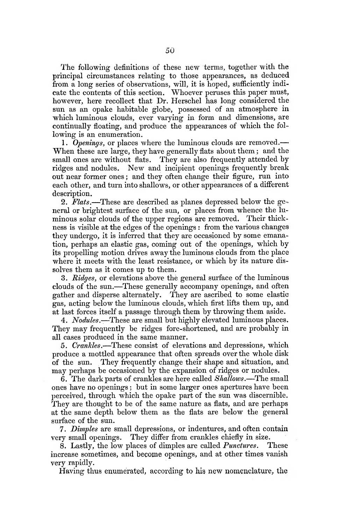The following definitions of these new terms, together with the principal circumstances relating to those appearances, as deduced from a long series of observations, will, it is hoped, sufficiently indi cate the contents of this section. Whoever peruses this paper must, however, here recollect that Dr. Herschel has long considered the sun as an opake habitable globe, possessed of an atmosphere in which luminous clouds, ever varying in form and dimensions, are continually floating, and produce the appearances of which the fol lowing is an enumeration.

1. Openings, or places where the luminous clouds are removed.— When these are large, they have generally flats about them ; and the small ones are without flats. They are also frequently attended by ridges and nodules. New and incipient openings frequently break out near former ones ; and they often change their figure, run into each other, and turn into shallows, or other appearances of a different description.

2. Flats.—These are described as planes depressed below the general or brightest surface of the sun, or places from whence the lu minous solar clouds of the upper regions are removed. Their thick ness is visible at the edges of the openings : from the various changes they undergo, it is inferred that they are occasioned by some emanation, perhaps an elastic gas, coming out of the openings, which by its propelling motion drives away the luminous clouds from the place where it meets with the least resistance, or which by its nature dissolves them as it comes up to them.

3. Ridges, or elevations above the general surface of the luminous clouds of the sun.—These generally accompany openings, and often gather and disperse alternately. They are ascribed to some elastic gas, acting below the luminous clouds, which first lifts them up, and at last forces itself a passage through them by throwing them aside.

4. Nodules.—These are small but highly elevated luminous places. They may frequently be ridges fore-shortened, and are probably in all cases produced in the same manner.

5. Crankles.—These consist of elevations and depressions, which produce a mottled appearance that often spreads over the whole disk of the sun. They frequently change their shape and situation, and may perhaps be occasioned by the expansion of ridges or nodules.

6. The dark parts of crankles are here called Shallows.—The small ones have no openings ; but in some larger ones apertures have been perceived, through which the opake part of the sun was discernible. They are thought to be of the same nature as flats, and are perhaps at the same depth below them as the flats are below the general surface of the sun.

7. Dimples are small depressions, or indentures, and often contain very small openings. They differ from crankles chiefly in size.

8. Lastly, the low places of dimples are called *Punctures*. These increase sometimes, and become openings, and at other times vanish very rapidly.

Having thus enumerated, according to his new nomenclature, the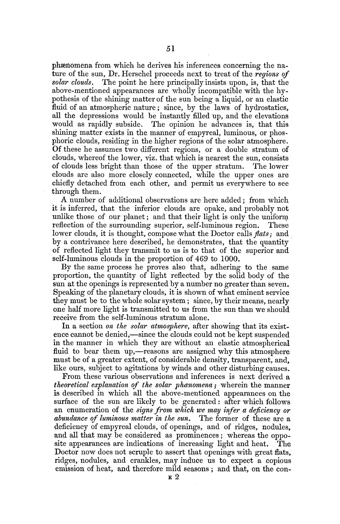phenomena from which he derives his inferences concerning the nature of the sun, Dr. Herschel proceeds next to treat of the regions of solar clouds. The point he here principally insists upon, is, that the The point he here principally insists upon, is, that the above-mentioned appearances are wholly incompatible with the hypothesis of the shining matter of the sun being a liquid, or an elastic fluid of an atmospheric nature; since, by the laws of hydrostatics, all the depressions would be instantly filled up, and the elevations would as rapidly subside. The opinion he advances is, that this shining matter exists in the manner of empyreal, luminous, or phosphoric clouds, residing in the higher regions of the solar atmosphere. Of these he assumes two different regions, or a double stratum of clouds, whereof the lower, viz. that which is nearest the sun, consists of clouds less bright than those of the upper stratum. The lower clouds are also more closely connected, while the upper ones are chiefly detached from each other, and permit us everywhere to see through them.

A number of additional observations are here added ; from which it is inferred, that the inferior clouds are opake, and probably not unlike those of our planet; and that their light is only the uniform reflection of the surrounding superior, self-luminous region. These lower clouds, it is thought, compose what the Doctor calls *flats*; and by a contrivance here described, he demonstrates, that the quantity of reflected light they transmit to us isto that of the superior and self-luminous clouds in the proportion of 469 to 1000.

By the same process he proves also that, adhering to the same proportion, the quantity of light reflected by the solid body of the sun at the openings is represented by a number no greater than seven. Speaking of the planetary clouds, it is shown of what eminent service they must be to the whole solar system ; since, by their means, nearly one half more light is transmitted to us from the sun than we should receive from the self-luminous stratum alone.

In a section on the solar atmosphere, after showing that its existence cannot be denied,—since the clouds could not be kept suspended in the manner in which they are without an elastic atmospherical fluid to bear them up,—reasons are assigned why this atmosphere must be of a greater extent, of considerable density, transparent, and, like ours, subject to agitations by winds and other disturbing causes.

From these various observations and inferences is next derived a theoretical explanation of the solar phenomena ; wherein the manner is described in which all the above-mentioned appearances on the surface of the sun are likely to be generated : after which follows an enumeration of the *signs from which we may infer a deficiency or* abundance of luminous matter in the sun. The former of these are a deficiency of empyreal clouds, of openings, and of ridges, nodules, and all that may be considered as prominences ; whereas the opposite appearances are indications of increasing light and heat. The Doctor now does not scruple to assert that openings with great flats, ridges, nodules, and crankles, may induce us to expect a copious emission of heat, and therefore mild seasons ; and that, on the con-